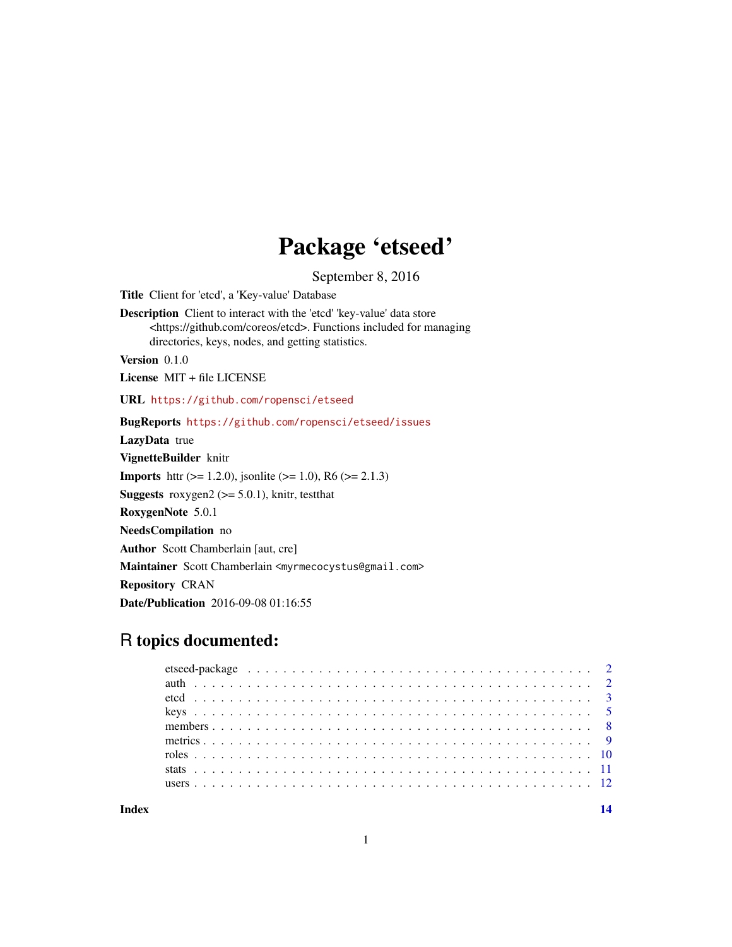## Package 'etseed'

September 8, 2016

<span id="page-0-0"></span>Title Client for 'etcd', a 'Key-value' Database Description Client to interact with the 'etcd' 'key-value' data store <https://github.com/coreos/etcd>. Functions included for managing directories, keys, nodes, and getting statistics. Version 0.1.0 License MIT + file LICENSE URL <https://github.com/ropensci/etseed> BugReports <https://github.com/ropensci/etseed/issues> LazyData true VignetteBuilder knitr **Imports** http:// $= 1.2.0$ , jsonlite ( $>= 1.0$ ), R6 ( $>= 2.1.3$ ) **Suggests** roxygen2 ( $>= 5.0.1$ ), knitr, testthat RoxygenNote 5.0.1 NeedsCompilation no Author Scott Chamberlain [aut, cre] Maintainer Scott Chamberlain <myrmecocystus@gmail.com> Repository CRAN Date/Publication 2016-09-08 01:16:55

### R topics documented:

**Index** 2008 **[14](#page-13-0)**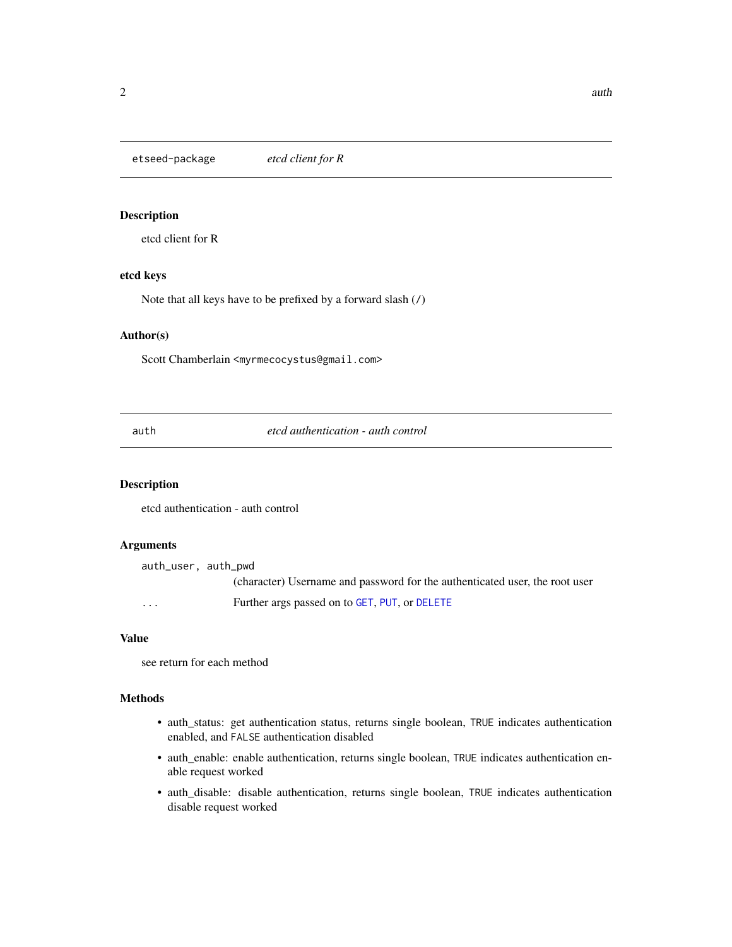<span id="page-1-0"></span>etseed-package *etcd client for R*

#### Description

etcd client for R

#### etcd keys

Note that all keys have to be prefixed by a forward slash (/)

#### Author(s)

Scott Chamberlain <myrmecocystus@gmail.com>

<span id="page-1-1"></span>auth *etcd authentication - auth control*

#### Description

etcd authentication - auth control

#### Arguments

auth\_user, auth\_pwd (character) Username and password for the authenticated user, the root user ... Further args passed on to [GET](#page-0-0), [PUT](#page-0-0), or [DELETE](#page-0-0)

#### Value

see return for each method

#### Methods

- auth\_status: get authentication status, returns single boolean, TRUE indicates authentication enabled, and FALSE authentication disabled
- auth\_enable: enable authentication, returns single boolean, TRUE indicates authentication enable request worked
- auth\_disable: disable authentication, returns single boolean, TRUE indicates authentication disable request worked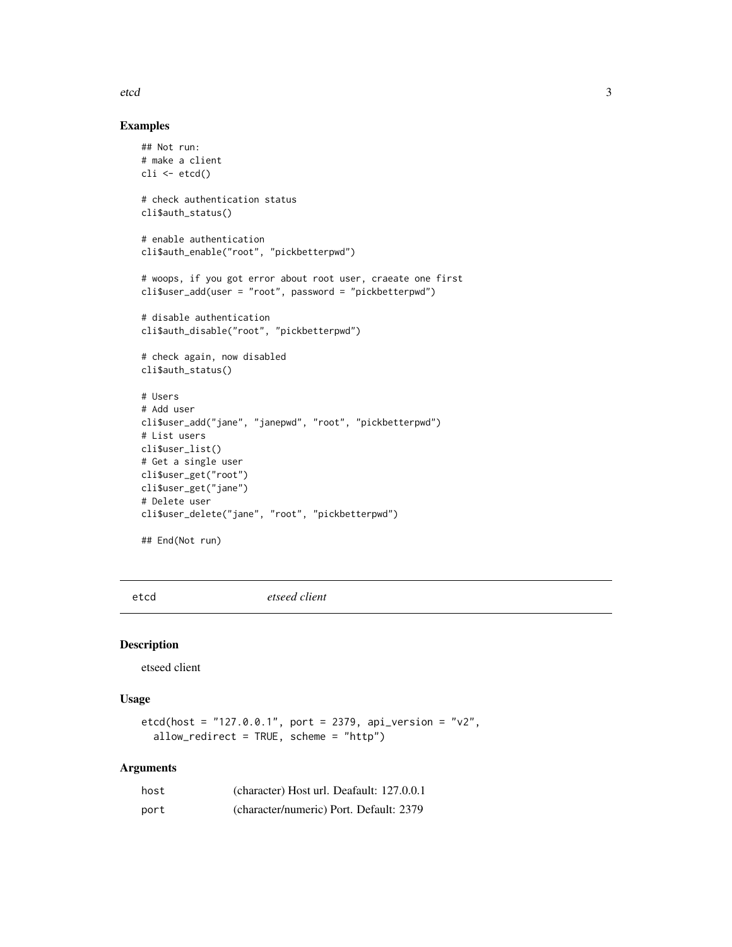#### <span id="page-2-0"></span>etcd 3

#### Examples

```
## Not run:
# make a client
cli \leftarrow etcd()# check authentication status
cli$auth_status()
# enable authentication
cli$auth_enable("root", "pickbetterpwd")
# woops, if you got error about root user, craeate one first
cli$user_add(user = "root", password = "pickbetterpwd")
# disable authentication
cli$auth_disable("root", "pickbetterpwd")
# check again, now disabled
cli$auth_status()
# Users
# Add user
cli$user_add("jane", "janepwd", "root", "pickbetterpwd")
# List users
cli$user_list()
# Get a single user
cli$user_get("root")
cli$user_get("jane")
# Delete user
cli$user_delete("jane", "root", "pickbetterpwd")
## End(Not run)
```
etcd *etseed client*

#### Description

etseed client

#### Usage

 $etcd(host = "127.0.0.1", port = 2379, api_version = "v2",$ allow\_redirect = TRUE, scheme = "http")

#### Arguments

| host | (character) Host url. Deafault: 127.0.0.1 |
|------|-------------------------------------------|
| port | (character/numeric) Port. Default: 2379   |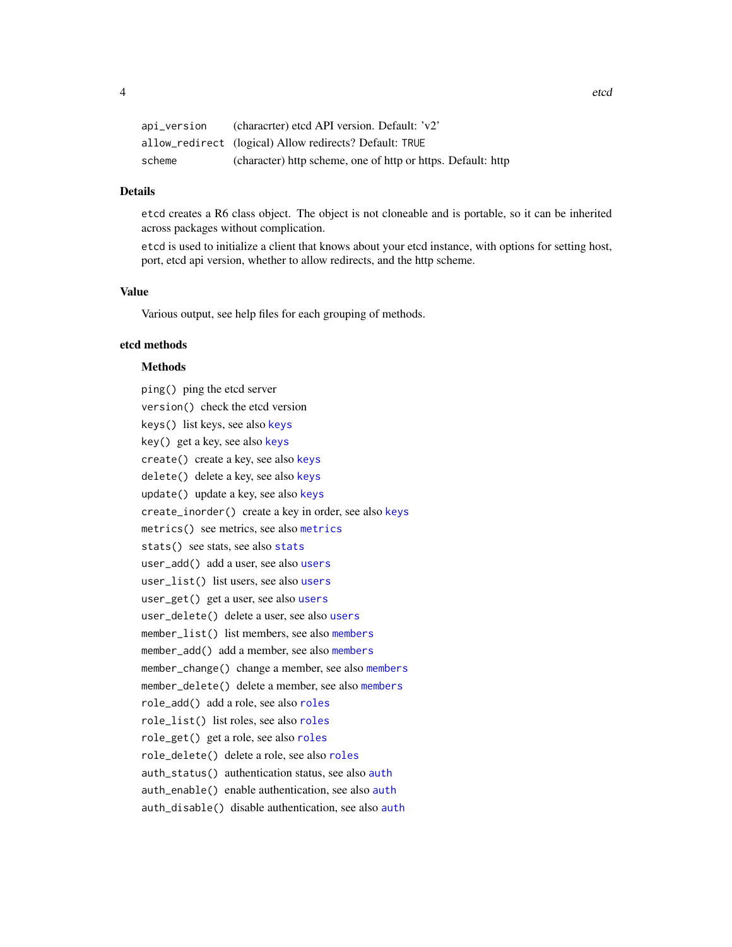<span id="page-3-0"></span>

| api_version | (characrter) etcd API version. Default: 'v2'                 |
|-------------|--------------------------------------------------------------|
|             | allow_redirect (logical) Allow redirects? Default: TRUE      |
| scheme      | (character) http scheme, one of http or https. Default: http |

#### Details

etcd creates a R6 class object. The object is not cloneable and is portable, so it can be inherited across packages without complication.

etcd is used to initialize a client that knows about your etcd instance, with options for setting host, port, etcd api version, whether to allow redirects, and the http scheme.

#### Value

Various output, see help files for each grouping of methods.

#### etcd methods

#### **Methods**

ping() ping the etcd server version() check the etcd version keys() list keys, see also [keys](#page-4-1) key() get a key, see also [keys](#page-4-1) create() create a key, see also [keys](#page-4-1) delete() delete a key, see also [keys](#page-4-1) update() update a key, see also [keys](#page-4-1) create\_inorder() create a key in order, see also [keys](#page-4-1) metrics() see metrics, see also [metrics](#page-8-1) [stats](#page-10-1)() see stats, see also stats user\_add() add a user, see also [users](#page-11-1) user\_list() list users, see also [users](#page-11-1) user\_get() get a user, see also [users](#page-11-1) user\_delete() delete a user, see also [users](#page-11-1) member\_list() list members, see also [members](#page-7-1) member\_add() add a member, see also [members](#page-7-1) member\_change() change a member, see also [members](#page-7-1) member\_delete() delete a member, see also [members](#page-7-1) role\_add() add a role, see also [roles](#page-9-1) role\_list() list roles, see also [roles](#page-9-1) role\_get() get a role, see also [roles](#page-9-1) role\_delete() delete a role, see also [roles](#page-9-1) auth\_status() authentication status, see also [auth](#page-1-1) auth\_enable() enable authentication, see also [auth](#page-1-1) auth\_disable() disable authentication, see also [auth](#page-1-1)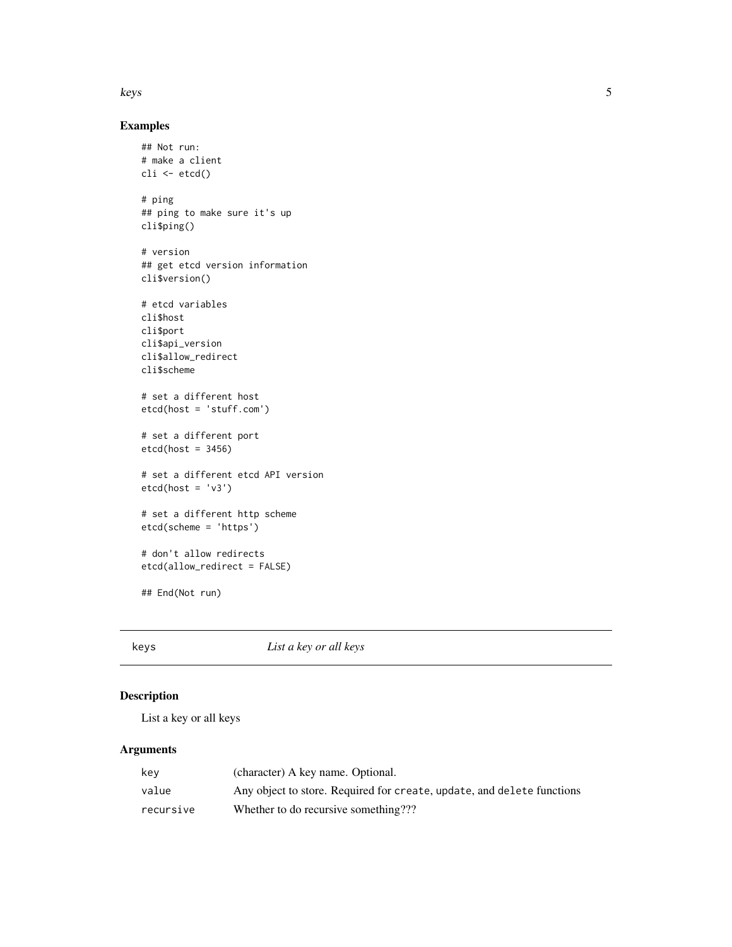#### <span id="page-4-0"></span>keys 5

#### Examples

```
## Not run:
# make a client
\operatorname{cli} <- \operatorname{etcd}()# ping
## ping to make sure it's up
cli$ping()
# version
## get etcd version information
cli$version()
# etcd variables
cli$host
cli$port
cli$api_version
cli$allow_redirect
cli$scheme
# set a different host
etcd(host = 'stuff.com')
# set a different port
etcd(host = 3456)# set a different etcd API version
etcd(host = 'v3')# set a different http scheme
etcd(scheme = 'https')
# don't allow redirects
etcd(allow_redirect = FALSE)
## End(Not run)
```
<span id="page-4-1"></span>keys *List a key or all keys*

#### Description

List a key or all keys

#### Arguments

| kev       | (character) A key name. Optional.                                      |
|-----------|------------------------------------------------------------------------|
| value     | Any object to store. Required for create, update, and delete functions |
| recursive | Whether to do recursive something???                                   |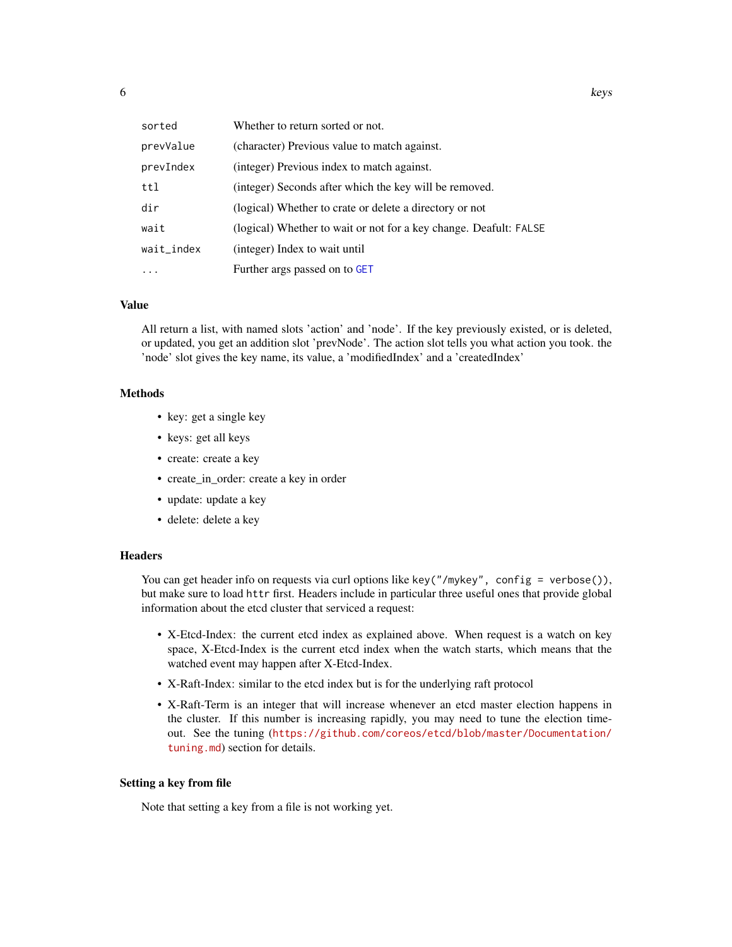<span id="page-5-0"></span>

| sorted     | Whether to return sorted or not.                                  |
|------------|-------------------------------------------------------------------|
| prevValue  | (character) Previous value to match against.                      |
| prevIndex  | (integer) Previous index to match against.                        |
| ttl        | (integer) Seconds after which the key will be removed.            |
| dir        | (logical) Whether to crate or delete a directory or not           |
| wait       | (logical) Whether to wait or not for a key change. Deafult: FALSE |
| wait_index | (integer) Index to wait until                                     |
| $\ddots$   | Further args passed on to GET                                     |

#### Value

All return a list, with named slots 'action' and 'node'. If the key previously existed, or is deleted, or updated, you get an addition slot 'prevNode'. The action slot tells you what action you took. the 'node' slot gives the key name, its value, a 'modifiedIndex' and a 'createdIndex'

#### Methods

- key: get a single key
- keys: get all keys
- create: create a key
- create\_in\_order: create a key in order
- update: update a key
- delete: delete a key

#### **Headers**

You can get header info on requests via curl options like key("/mykey", config = verbose()), but make sure to load httr first. Headers include in particular three useful ones that provide global information about the etcd cluster that serviced a request:

- X-Etcd-Index: the current etcd index as explained above. When request is a watch on key space, X-Etcd-Index is the current etcd index when the watch starts, which means that the watched event may happen after X-Etcd-Index.
- X-Raft-Index: similar to the etcd index but is for the underlying raft protocol
- X-Raft-Term is an integer that will increase whenever an etcd master election happens in the cluster. If this number is increasing rapidly, you may need to tune the election timeout. See the tuning ([https://github.com/coreos/etcd/blob/master/Documentation/](https://github.com/coreos/etcd/blob/master/Documentation/tuning.md) [tuning.md](https://github.com/coreos/etcd/blob/master/Documentation/tuning.md)) section for details.

#### Setting a key from file

Note that setting a key from a file is not working yet.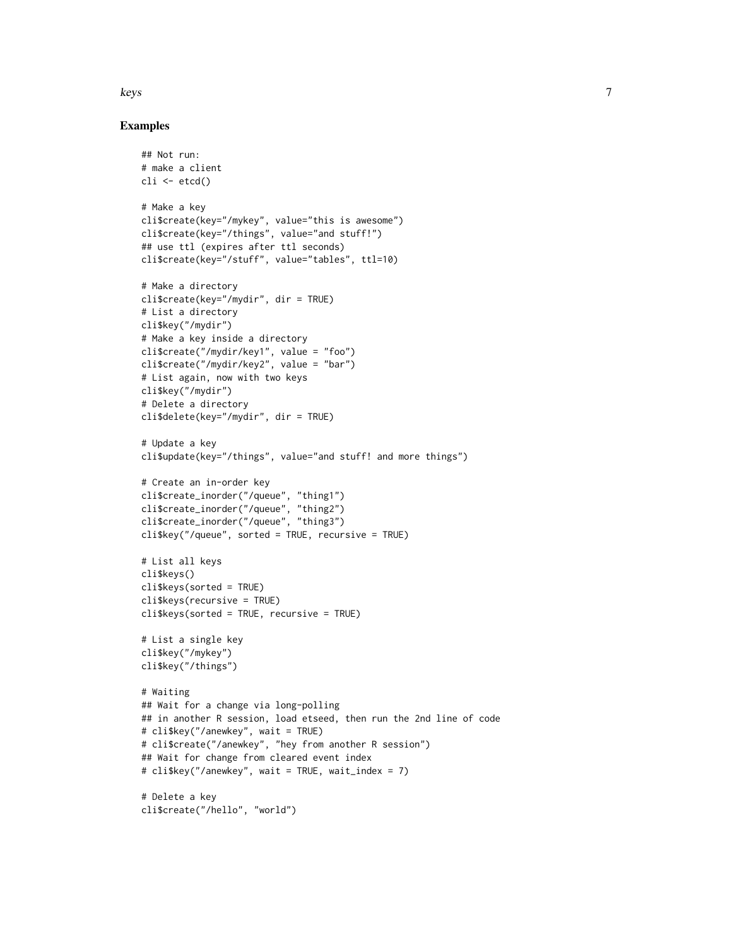keys 7

#### Examples

```
## Not run:
# make a client
cli <- etcd()
# Make a key
cli$create(key="/mykey", value="this is awesome")
cli$create(key="/things", value="and stuff!")
## use ttl (expires after ttl seconds)
cli$create(key="/stuff", value="tables", ttl=10)
# Make a directory
cli$create(key="/mydir", dir = TRUE)
# List a directory
cli$key("/mydir")
# Make a key inside a directory
cli$create("/mydir/key1", value = "foo")
cli$create("/mydir/key2", value = "bar")
# List again, now with two keys
cli$key("/mydir")
# Delete a directory
cli$delete(key="/mydir", dir = TRUE)
# Update a key
cli$update(key="/things", value="and stuff! and more things")
# Create an in-order key
cli$create_inorder("/queue", "thing1")
cli$create_inorder("/queue", "thing2")
cli$create_inorder("/queue", "thing3")
cli$key("/queue", sorted = TRUE, recursive = TRUE)
# List all keys
cli$keys()
cli$keys(sorted = TRUE)
cli$keys(recursive = TRUE)
cli$keys(sorted = TRUE, recursive = TRUE)
# List a single key
cli$key("/mykey")
cli$key("/things")
# Waiting
## Wait for a change via long-polling
## in another R session, load etseed, then run the 2nd line of code
# cli$key("/anewkey", wait = TRUE)
# cli$create("/anewkey", "hey from another R session")
## Wait for change from cleared event index
# cli$key("/anewkey", wait = TRUE, wait_index = 7)
# Delete a key
cli$create("/hello", "world")
```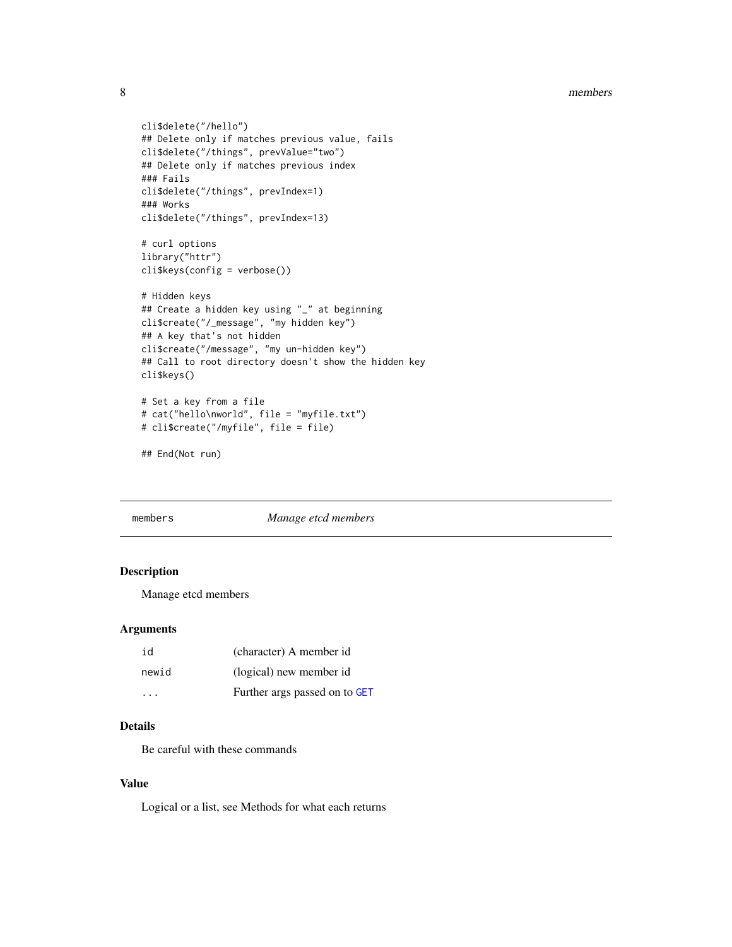#### <span id="page-7-0"></span>8 members and the state of the state of the state of the state of the state of the state of the state of the state of the state of the state of the state of the state of the state of the state of the state of the state of

```
cli$delete("/hello")
## Delete only if matches previous value, fails
cli$delete("/things", prevValue="two")
## Delete only if matches previous index
### Fails
cli$delete("/things", prevIndex=1)
### Works
cli$delete("/things", prevIndex=13)
# curl options
library("httr")
cli$keys(config = verbose())
# Hidden keys
## Create a hidden key using "_" at beginning
cli$create("/_message", "my hidden key")
## A key that's not hidden
cli$create("/message", "my un-hidden key")
## Call to root directory doesn't show the hidden key
cli$keys()
# Set a key from a file
# cat("hello\nworld", file = "myfile.txt")
# cli$create("/myfile", file = file)
```

```
## End(Not run)
```
<span id="page-7-1"></span>

members *Manage etcd members*

#### Description

Manage etcd members

#### Arguments

| id                      | (character) A member id       |
|-------------------------|-------------------------------|
| newid                   | (logical) new member id       |
| $\cdot$ $\cdot$ $\cdot$ | Further args passed on to GET |

#### Details

Be careful with these commands

#### Value

Logical or a list, see Methods for what each returns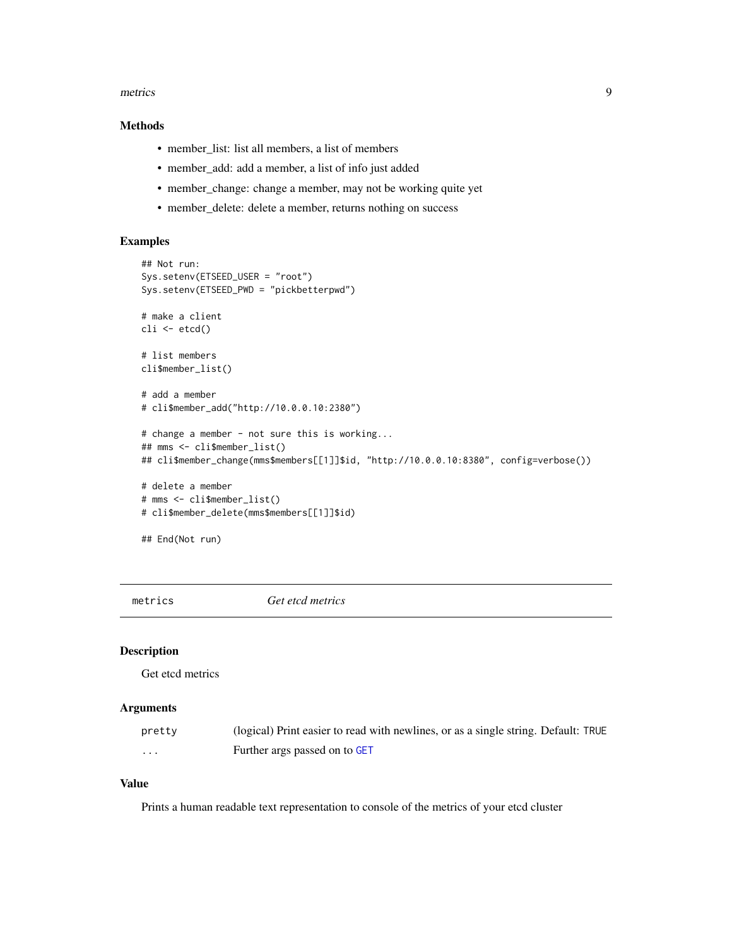#### <span id="page-8-0"></span>metrics **9**

#### Methods

- member\_list: list all members, a list of members
- member\_add: add a member, a list of info just added
- member\_change: change a member, may not be working quite yet
- member\_delete: delete a member, returns nothing on success

#### Examples

```
## Not run:
Sys.setenv(ETSEED_USER = "root")
Sys.setenv(ETSEED_PWD = "pickbetterpwd")
# make a client
cli <- etcd()
# list members
cli$member_list()
# add a member
# cli$member_add("http://10.0.0.10:2380")
# change a member - not sure this is working...
## mms <- cli$member_list()
## cli$member_change(mms$members[[1]]$id, "http://10.0.0.10:8380", config=verbose())
# delete a member
# mms <- cli$member_list()
# cli$member_delete(mms$members[[1]]$id)
## End(Not run)
```
<span id="page-8-1"></span>metrics *Get etcd metrics*

#### Description

Get etcd metrics

#### Arguments

| pretty | (logical) Print easier to read with newlines, or as a single string. Default: TRUE |
|--------|------------------------------------------------------------------------------------|
| .      | Further args passed on to GET                                                      |

#### Value

Prints a human readable text representation to console of the metrics of your etcd cluster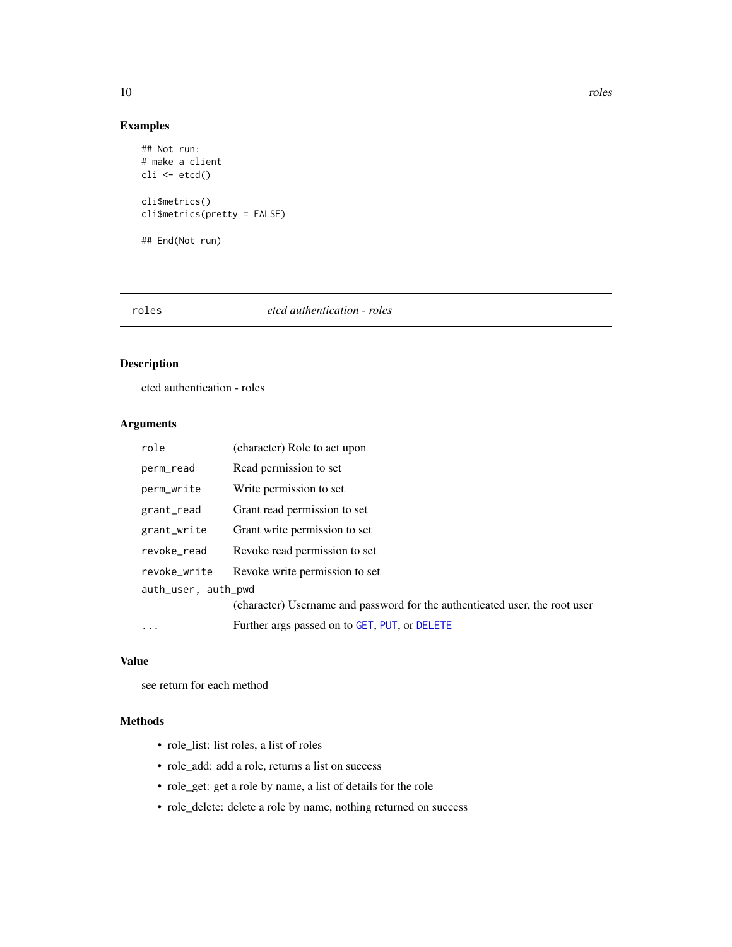#### Examples

```
## Not run:
# make a client
cli <- etcd()
cli$metrics()
cli$metrics(pretty = FALSE)
## End(Not run)
```
#### <span id="page-9-1"></span>roles *etcd authentication - roles*

#### Description

etcd authentication - roles

#### Arguments

| role                | (character) Role to act upon                                                |  |  |  |
|---------------------|-----------------------------------------------------------------------------|--|--|--|
| perm_read           | Read permission to set                                                      |  |  |  |
| perm_write          | Write permission to set                                                     |  |  |  |
| grant_read          | Grant read permission to set                                                |  |  |  |
| grant_write         | Grant write permission to set                                               |  |  |  |
| revoke read         | Revoke read permission to set                                               |  |  |  |
| revoke write        | Revoke write permission to set                                              |  |  |  |
| auth_user, auth_pwd |                                                                             |  |  |  |
|                     | (character) Username and password for the authenticated user, the root user |  |  |  |
| $\ddots$            | Further args passed on to GET, PUT, or DELETE                               |  |  |  |

#### Value

see return for each method

#### Methods

- role\_list: list roles, a list of roles
- role\_add: add a role, returns a list on success
- role\_get: get a role by name, a list of details for the role
- role\_delete: delete a role by name, nothing returned on success

<span id="page-9-0"></span>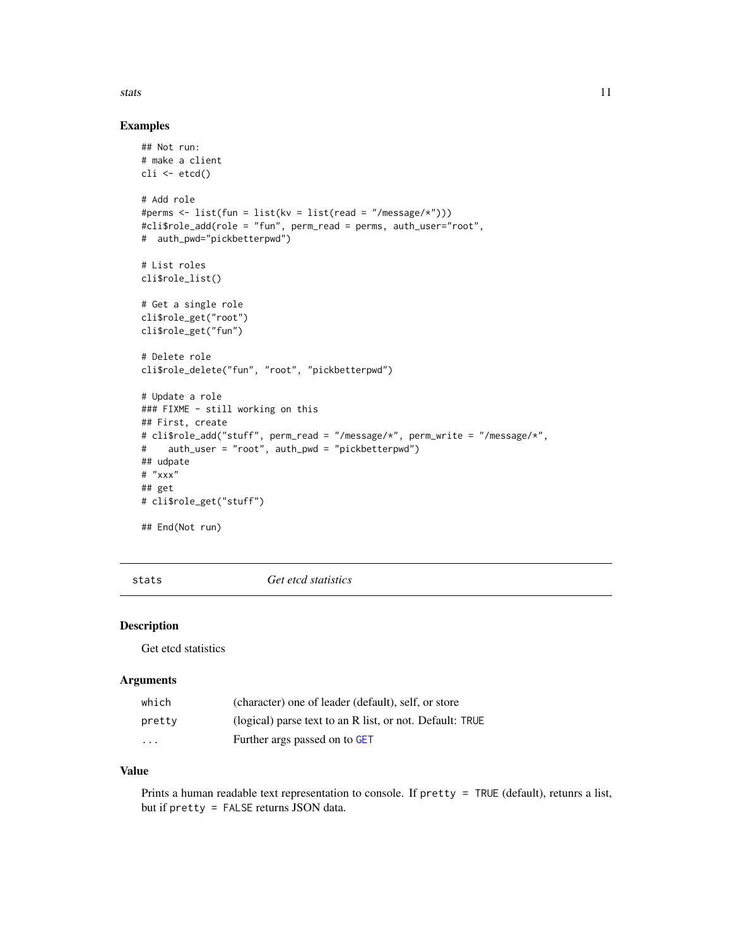#### <span id="page-10-0"></span>stats and the state of the state of the state of the state of the state of the state of the state of the state of the state of the state of the state of the state of the state of the state of the state of the state of the

#### Examples

```
## Not run:
# make a client
\operatorname{cli} <- \operatorname{etcd}()# Add role
#perms <- list(fun = list(kv = list(read = "/message/*")))
#cli$role_add(role = "fun", perm_read = perms, auth_user="root",
# auth_pwd="pickbetterpwd")
# List roles
cli$role_list()
# Get a single role
cli$role_get("root")
cli$role_get("fun")
# Delete role
cli$role_delete("fun", "root", "pickbetterpwd")
# Update a role
### FIXME - still working on this
## First, create
# cli$role_add("stuff", perm_read = "/message/*", perm_write = "/message/*",
# auth_user = "root", auth_pwd = "pickbetterpwd")
## udpate
# "xxx"
## get
# cli$role_get("stuff")
## End(Not run)
```
<span id="page-10-1"></span>stats *Get etcd statistics*

#### Description

Get etcd statistics

#### Arguments

| which  | (character) one of leader (default), self, or store      |
|--------|----------------------------------------------------------|
| pretty | (logical) parse text to an R list, or not. Default: TRUE |
| .      | Further args passed on to GET                            |

#### Value

Prints a human readable text representation to console. If pretty = TRUE (default), retunrs a list, but if pretty = FALSE returns JSON data.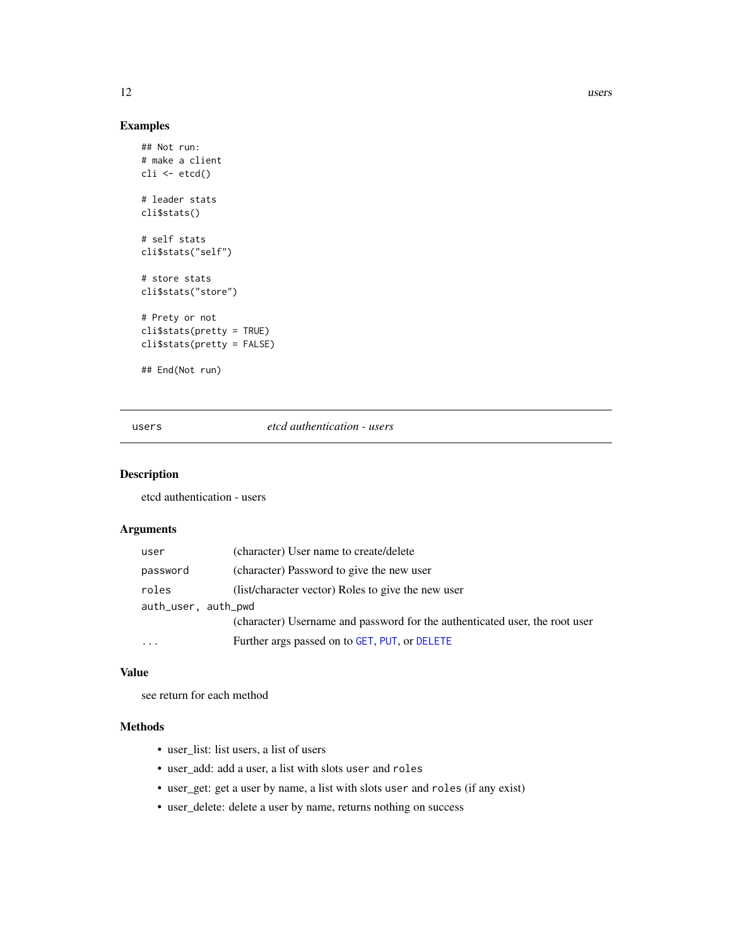#### Examples

```
## Not run:
# make a client
cli \leftarrow etcd()# leader stats
cli$stats()
# self stats
cli$stats("self")
# store stats
cli$stats("store")
# Prety or not
cli$stats(pretty = TRUE)
cli$stats(pretty = FALSE)
## End(Not run)
```
#### <span id="page-11-1"></span>users *etcd authentication - users*

#### Description

etcd authentication - users

#### Arguments

| user                | (character) User name to create/delete                                      |
|---------------------|-----------------------------------------------------------------------------|
| password            | (character) Password to give the new user                                   |
| roles               | (list/character vector) Roles to give the new user                          |
| auth_user, auth_pwd |                                                                             |
|                     | (character) Username and password for the authenticated user, the root user |
| $\cdots$            | Further args passed on to GET, PUT, or DELETE                               |

#### Value

see return for each method

#### Methods

- user\_list: list users, a list of users
- user\_add: add a user, a list with slots user and roles
- user\_get: get a user by name, a list with slots user and roles (if any exist)
- user\_delete: delete a user by name, returns nothing on success

<span id="page-11-0"></span>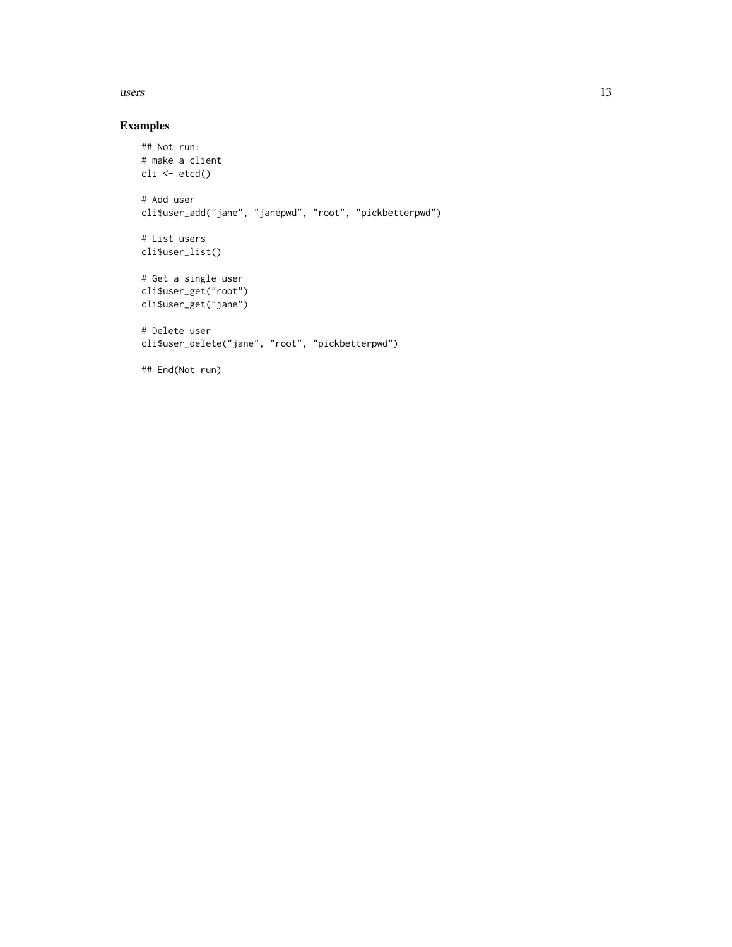#### $\mu$ users  $\mu$  13

#### Examples

```
## Not run:
# make a client
cli \leftarrow etcd()# Add user
cli$user_add("jane", "janepwd", "root", "pickbetterpwd")
# List users
cli$user_list()
# Get a single user
cli$user_get("root")
cli$user_get("jane")
# Delete user
cli$user_delete("jane", "root", "pickbetterpwd")
```
## End(Not run)